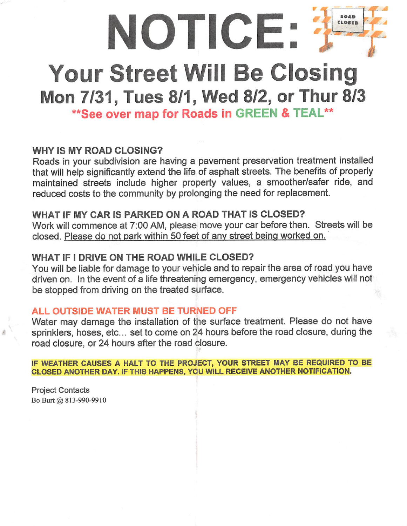

# Your Street Will Be Closing

## Mon 7/31, Tues 8/1, Wed 8/2, or Thur 8/3

\*\* See over map for Roads in GREEN & TEAL\*\*

#### WHY IS MY ROAD CLOSING?

Roads in your subdivision are having a pavement preservation treatment installed that will help significantly extend the life of asphalt streets. The benefits of properly maintained streets include higher property values, a smoother/safer ride, and reduced costs to the community by prolonging the need for replacement.

### WHAT IF MY CAR IS PARKED ON A ROAD THAT IS CLOSED?

Work will commence at 7:00 AM, please move your car before then. Streets will be closed. Please do not park within 50 feet of anv street being worked on.

#### WHAT IF I DRIVE ON THE ROAD WHILE CLOSED?

You will be liable for damage to your vehicle and to repair the area of road you have driven on. In the event of a life threatening emergency, emergency vehicles will not be stopped from driving on the treated surface.

#### ALL OUTSIDE WATER MUST BE TURNED OFF

Water may damage the installation of the surface treatment. Please do not have sprinklers, hoses, etc... set to come on 24 hours before the road closure, during the road closure, or 24 hours after the road closure.

IF WEATHER CAUSES A HALT TO THE PROJECT, YOUR STREET MAY BE REQUIRED TO BE CLOSED ANOTHER DAY. IF THIS HAPPENS, YOU WILL RECEIVE ANOTHER NOTIFICATION.

Project Contacts Bo Burt@ 813-990-9910